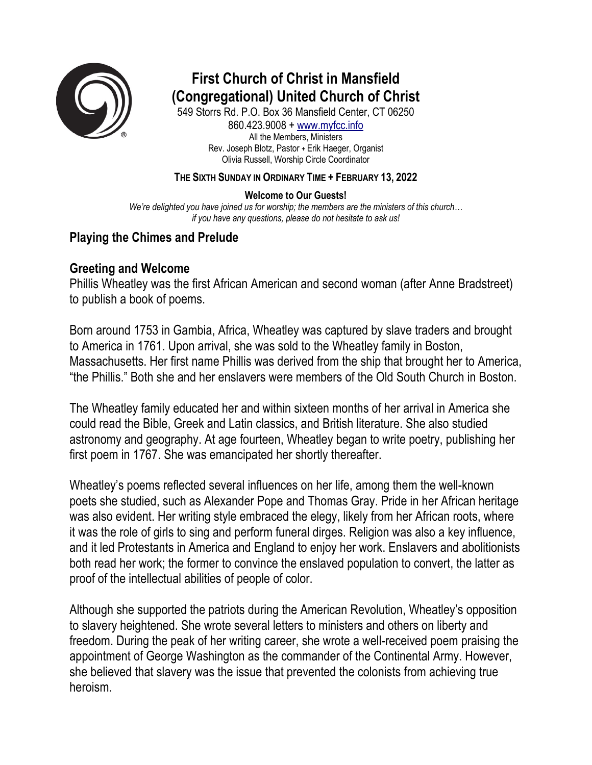

# **First Church of Christ in Mansfield (Congregational) United Church of Christ**

549 Storrs Rd. P.O. Box 36 Mansfield Center, CT 06250 860.423.9008 + www.myfcc.info All the Members, Ministers Rev. Joseph Blotz, Pastor + Erik Haeger, Organist Olivia Russell, Worship Circle Coordinator

#### **THE SIXTH SUNDAY IN ORDINARY TIME + FEBRUARY 13, 2022**

#### **Welcome to Our Guests!**

*We're delighted you have joined us for worship; the members are the ministers of this church… if you have any questions, please do not hesitate to ask us!*

### **Playing the Chimes and Prelude**

#### **Greeting and Welcome**

Phillis Wheatley was the first African American and second woman (after Anne Bradstreet) to publish a book of poems.

Born around 1753 in Gambia, Africa, Wheatley was captured by slave traders and brought to America in 1761. Upon arrival, she was sold to the Wheatley family in Boston, Massachusetts. Her first name Phillis was derived from the ship that brought her to America, "the Phillis." Both she and her enslavers were members of the Old South Church in Boston.

The Wheatley family educated her and within sixteen months of her arrival in America she could read the Bible, Greek and Latin classics, and British literature. She also studied astronomy and geography. At age fourteen, Wheatley began to write poetry, publishing her first poem in 1767. She was emancipated her shortly thereafter.

Wheatley's poems reflected several influences on her life, among them the well-known poets she studied, such as Alexander Pope and Thomas Gray. Pride in her African heritage was also evident. Her writing style embraced the elegy, likely from her African roots, where it was the role of girls to sing and perform funeral dirges. Religion was also a key influence, and it led Protestants in America and England to enjoy her work. Enslavers and abolitionists both read her work; the former to convince the enslaved population to convert, the latter as proof of the intellectual abilities of people of color.

Although she supported the patriots during the American Revolution, Wheatley's opposition to slavery heightened. She wrote several letters to ministers and others on liberty and freedom. During the peak of her writing career, she wrote a well-received poem praising the appointment of George Washington as the commander of the Continental Army. However, she believed that slavery was the issue that prevented the colonists from achieving true heroism.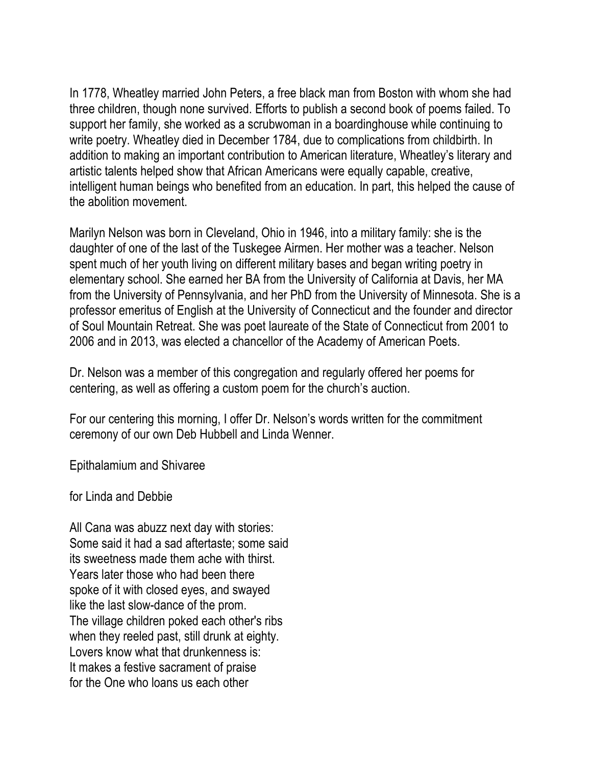In 1778, Wheatley married John Peters, a free black man from Boston with whom she had three children, though none survived. Efforts to publish a second book of poems failed. To support her family, she worked as a scrubwoman in a boardinghouse while continuing to write poetry. Wheatley died in December 1784, due to complications from childbirth. In addition to making an important contribution to American literature, Wheatley's literary and artistic talents helped show that African Americans were equally capable, creative, intelligent human beings who benefited from an education. In part, this helped the cause of the abolition movement.

Marilyn Nelson was born in Cleveland, Ohio in 1946, into a military family: she is the daughter of one of the last of the Tuskegee Airmen. Her mother was a teacher. Nelson spent much of her youth living on different military bases and began writing poetry in elementary school. She earned her BA from the University of California at Davis, her MA from the University of Pennsylvania, and her PhD from the University of Minnesota. She is a professor emeritus of English at the University of Connecticut and the founder and director of Soul Mountain Retreat. She was poet laureate of the State of Connecticut from 2001 to 2006 and in 2013, was elected a chancellor of the Academy of American Poets.

Dr. Nelson was a member of this congregation and regularly offered her poems for centering, as well as offering a custom poem for the church's auction.

For our centering this morning, I offer Dr. Nelson's words written for the commitment ceremony of our own Deb Hubbell and Linda Wenner.

Epithalamium and Shivaree

for Linda and Debbie

All Cana was abuzz next day with stories: Some said it had a sad aftertaste; some said its sweetness made them ache with thirst. Years later those who had been there spoke of it with closed eyes, and swayed like the last slow-dance of the prom. The village children poked each other's ribs when they reeled past, still drunk at eighty. Lovers know what that drunkenness is: It makes a festive sacrament of praise for the One who loans us each other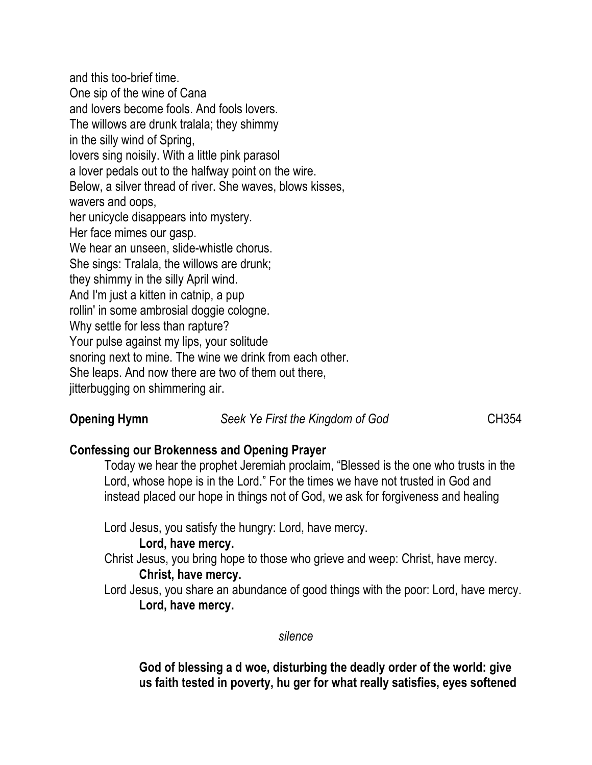and this too-brief time. One sip of the wine of Cana and lovers become fools. And fools lovers. The willows are drunk tralala; they shimmy in the silly wind of Spring, lovers sing noisily. With a little pink parasol a lover pedals out to the halfway point on the wire. Below, a silver thread of river. She waves, blows kisses, wavers and oops, her unicycle disappears into mystery. Her face mimes our gasp. We hear an unseen, slide-whistle chorus. She sings: Tralala, the willows are drunk; they shimmy in the silly April wind. And I'm just a kitten in catnip, a pup rollin' in some ambrosial doggie cologne. Why settle for less than rapture? Your pulse against my lips, your solitude snoring next to mine. The wine we drink from each other. She leaps. And now there are two of them out there, jitterbugging on shimmering air.

**Opening Hymn** *Seek Ye First the Kingdom of God* CH354

# **Confessing our Brokenness and Opening Prayer**

Today we hear the prophet Jeremiah proclaim, "Blessed is the one who trusts in the Lord, whose hope is in the Lord." For the times we have not trusted in God and instead placed our hope in things not of God, we ask for forgiveness and healing

Lord Jesus, you satisfy the hungry: Lord, have mercy.

### **Lord, have mercy.**

Christ Jesus, you bring hope to those who grieve and weep: Christ, have mercy. **Christ, have mercy.**

Lord Jesus, you share an abundance of good things with the poor: Lord, have mercy. **Lord, have mercy.** 

#### *silence*

**God of blessing ad woe, disturbing the deadly order of the world: give us faith tested in poverty, huger for what really satisfies, eyes softened**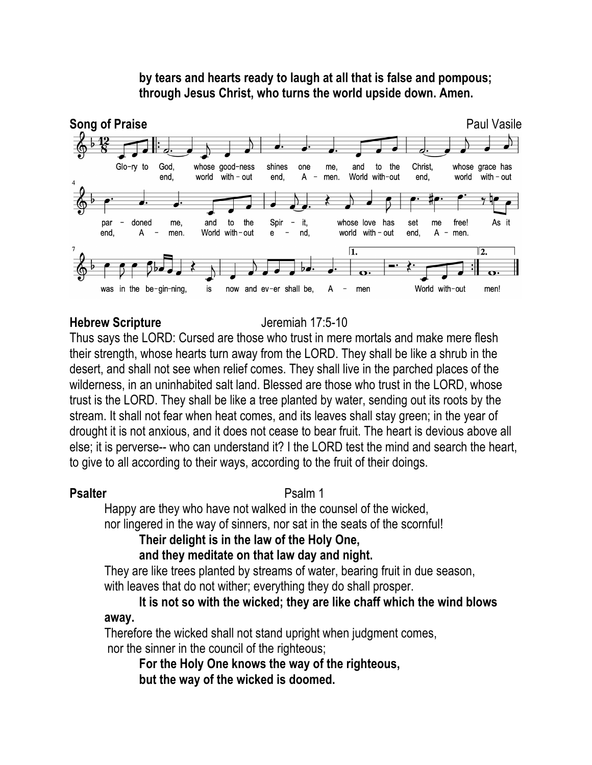

# **by tears and hearts ready to laugh at all that is false and pompous; through Jesus Christ, who turns the world upside down. Amen.**

### **Hebrew Scripture** Jeremiah 17:5-10

Thus says the LORD: Cursed are those who trust in mere mortals and make mere flesh their strength, whose hearts turn away from the LORD. They shall be like a shrub in the desert, and shall not see when relief comes. They shall live in the parched places of the wilderness, in an uninhabited salt land. Blessed are those who trust in the LORD, whose trust is the LORD. They shall be like a tree planted by water, sending out its roots by the stream. It shall not fear when heat comes, and its leaves shall stay green; in the year of drought it is not anxious, and it does not cease to bear fruit. The heart is devious above all else; it is perverse-- who can understand it? I the LORD test the mind and search the heart, to give to all according to their ways, according to the fruit of their doings.

**Psalter** Psalm 1

Happy are they who have not walked in the counsel of the wicked, nor lingered in the way of sinners, nor sat in the seats of the scornful!

**Their delight is in the law of the Holy One,** 

**and they meditate on that law day and night.** 

They are like trees planted by streams of water, bearing fruit in due season, with leaves that do not wither; everything they do shall prosper.

### **It is not so with the wicked; they are like chaff which the wind blows away.**

Therefore the wicked shall not stand upright when judgment comes, nor the sinner in the council of the righteous;

> **For the Holy One knows the way of the righteous, but the way of the wicked is doomed.**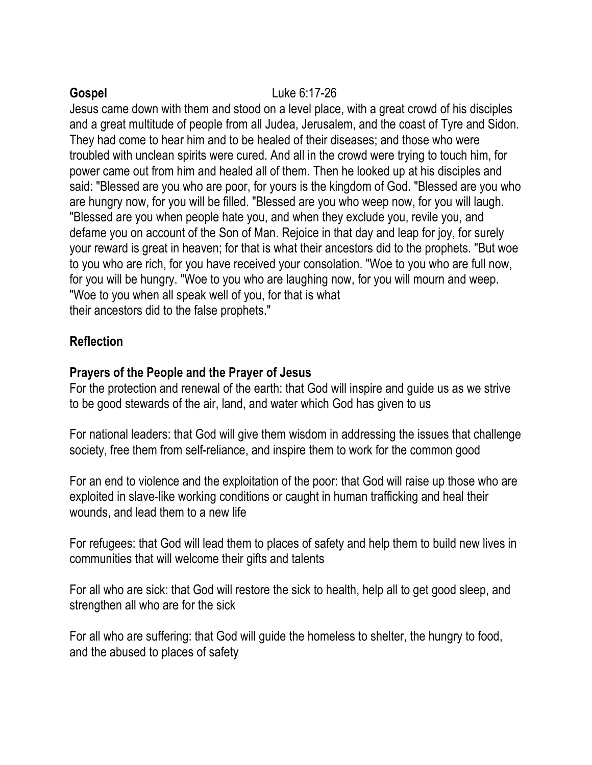### **Gospel** Luke 6:17-26

Jesus came down with them and stood on a level place, with a great crowd of his disciples and a great multitude of people from all Judea, Jerusalem, and the coast of Tyre and Sidon. They had come to hear him and to be healed of their diseases; and those who were troubled with unclean spirits were cured. And all in the crowd were trying to touch him, for power came out from him and healed all of them. Then he looked up at his disciples and said: "Blessed are you who are poor, for yours is the kingdom of God. "Blessed are you who are hungry now, for you will be filled. "Blessed are you who weep now, for you will laugh. "Blessed are you when people hate you, and when they exclude you, revile you, and defame you on account of the Son of Man. Rejoice in that day and leap for joy, for surely your reward is great in heaven; for that is what their ancestors did to the prophets. "But woe to you who are rich, for you have received your consolation. "Woe to you who are full now, for you will be hungry. "Woe to you who are laughing now, for you will mourn and weep. "Woe to you when all speak well of you, for that is what their ancestors did to the false prophets."

# **Reflection**

# **Prayers of the People and the Prayer of Jesus**

For the protection and renewal of the earth: that God will inspire and guide us as we strive to be good stewards of the air, land, and water which God has given to us

For national leaders: that God will give them wisdom in addressing the issues that challenge society, free them from self-reliance, and inspire them to work for the common good

For an end to violence and the exploitation of the poor: that God will raise up those who are exploited in slave-like working conditions or caught in human trafficking and heal their wounds, and lead them to a new life

For refugees: that God will lead them to places of safety and help them to build new lives in communities that will welcome their gifts and talents

For all who are sick: that God will restore the sick to health, help all to get good sleep, and strengthen all who are for the sick

For all who are suffering: that God will guide the homeless to shelter, the hungry to food, and the abused to places of safety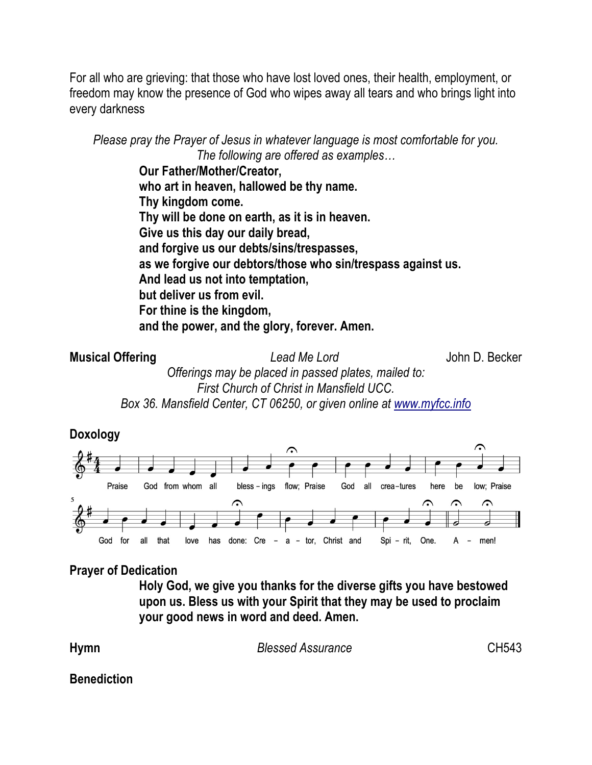For all who are grieving: that those who have lost loved ones, their health, employment, or freedom may know the presence of God who wipes away all tears and who brings light into every darkness

*Please pray the Prayer of Jesus in whatever language is most comfortable for you. The following are offered as examples…* **Our Father/Mother/Creator, who art in heaven, hallowed be thy name. Thy kingdom come. Thy will be done on earth, as it is in heaven. Give us this day our daily bread, and forgive us our debts/sins/trespasses, as we forgive our debtors/those who sin/trespass against us. And lead us not into temptation, but deliver us from evil. For thine is the kingdom, and the power, and the glory, forever. Amen.**

**Musical Offering** *Lead Me Lord* John D. Becker *Offerings may be placed in passed plates, mailed to: First Church of Christ in Mansfield UCC. Box 36. Mansfield Center, CT 06250, or given online at www.myfcc.info*



# **Prayer of Dedication**

**Holy God, we give you thanks for the diverse gifts you have bestowed upon us. Bless us with your Spirit that they may be used to proclaim your good news in word and deed. Amen.**

**Hymn** CH543

**Benediction**